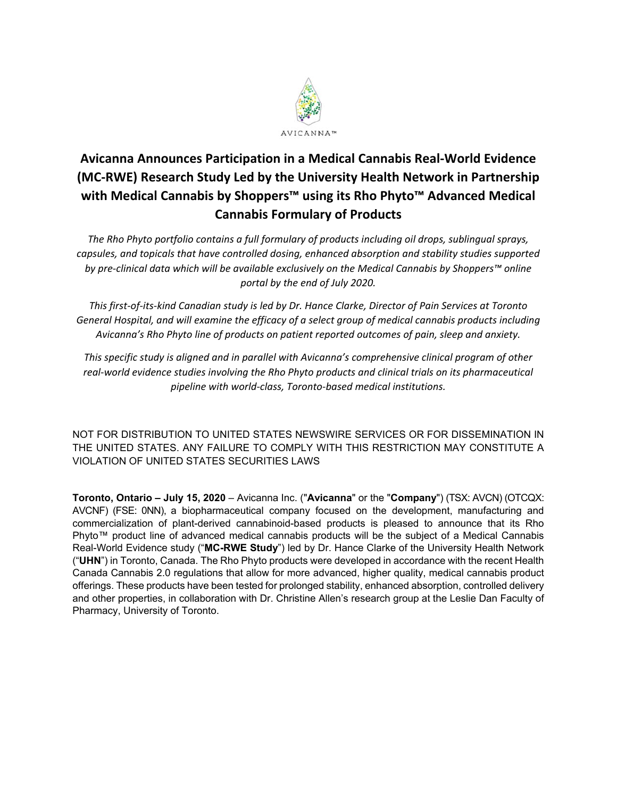

## **Avicanna Announces Participation in a Medical Cannabis Real‐World Evidence (MC‐RWE) Research Study Led by the University Health Network in Partnership with Medical Cannabis by Shoppers™ using its Rho Phyto™ Advanced Medical Cannabis Formulary of Products**

*The Rho Phyto portfolio contains a full formulary of products including oil drops, sublingual sprays, capsules, and topicals that have controlled dosing, enhanced absorption and stability studies supported by pre‐clinical data which will be available exclusively on the Medical Cannabis by Shoppers™ online portal by the end of July 2020.* 

*This first‐of‐its‐kind Canadian study is led by Dr. Hance Clarke, Director of Pain Services at Toronto General Hospital, and will examine the efficacy of a select group of medical cannabis products including Avicanna's Rho Phyto line of products on patient reported outcomes of pain, sleep and anxiety.* 

*This specific study is aligned and in parallel with Avicanna's comprehensive clinical program of other real‐world evidence studies involving the Rho Phyto products and clinical trials on its pharmaceutical pipeline with world‐class, Toronto‐based medical institutions.* 

NOT FOR DISTRIBUTION TO UNITED STATES NEWSWIRE SERVICES OR FOR DISSEMINATION IN THE UNITED STATES. ANY FAILURE TO COMPLY WITH THIS RESTRICTION MAY CONSTITUTE A VIOLATION OF UNITED STATES SECURITIES LAWS

**Toronto, Ontario – July 15, 2020** – Avicanna Inc. ("**Avicanna**" or the "**Company**") (TSX: AVCN) (OTCQX: AVCNF) (FSE: 0NN), a biopharmaceutical company focused on the development, manufacturing and commercialization of plant-derived cannabinoid-based products is pleased to announce that its Rho Phyto™ product line of advanced medical cannabis products will be the subject of a Medical Cannabis Real-World Evidence study ("**MC-RWE Study**") led by Dr. Hance Clarke of the University Health Network ("**UHN**") in Toronto, Canada. The Rho Phyto products were developed in accordance with the recent Health Canada Cannabis 2.0 regulations that allow for more advanced, higher quality, medical cannabis product offerings. These products have been tested for prolonged stability, enhanced absorption, controlled delivery and other properties, in collaboration with Dr. Christine Allen's research group at the Leslie Dan Faculty of Pharmacy, University of Toronto.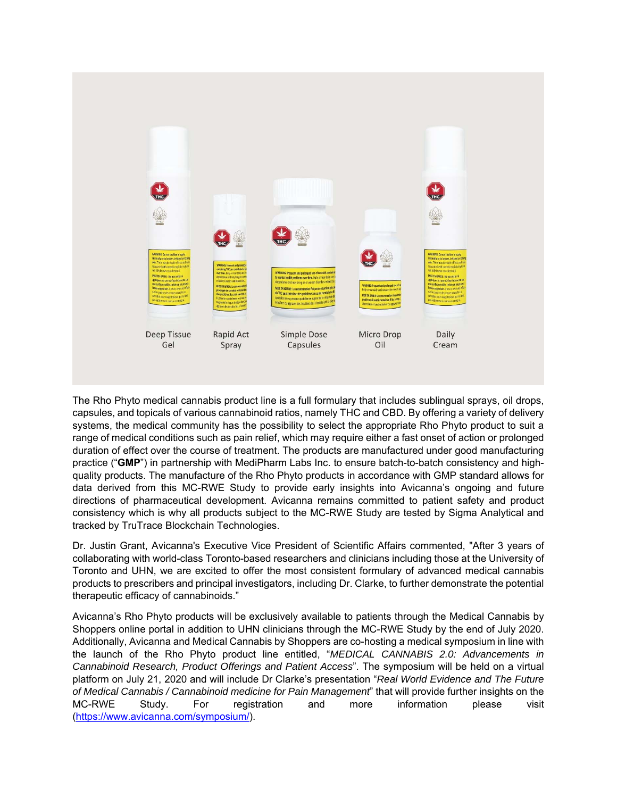

The Rho Phyto medical cannabis product line is a full formulary that includes sublingual sprays, oil drops, capsules, and topicals of various cannabinoid ratios, namely THC and CBD. By offering a variety of delivery systems, the medical community has the possibility to select the appropriate Rho Phyto product to suit a range of medical conditions such as pain relief, which may require either a fast onset of action or prolonged duration of effect over the course of treatment. The products are manufactured under good manufacturing practice ("**GMP**") in partnership with MediPharm Labs Inc. to ensure batch-to-batch consistency and highquality products. The manufacture of the Rho Phyto products in accordance with GMP standard allows for data derived from this MC-RWE Study to provide early insights into Avicanna's ongoing and future directions of pharmaceutical development. Avicanna remains committed to patient safety and product consistency which is why all products subject to the MC-RWE Study are tested by Sigma Analytical and tracked by TruTrace Blockchain Technologies.

Dr. Justin Grant, Avicanna's Executive Vice President of Scientific Affairs commented, "After 3 years of collaborating with world-class Toronto-based researchers and clinicians including those at the University of Toronto and UHN, we are excited to offer the most consistent formulary of advanced medical cannabis products to prescribers and principal investigators, including Dr. Clarke, to further demonstrate the potential therapeutic efficacy of cannabinoids."

Avicanna's Rho Phyto products will be exclusively available to patients through the Medical Cannabis by Shoppers online portal in addition to UHN clinicians through the MC-RWE Study by the end of July 2020. Additionally, Avicanna and Medical Cannabis by Shoppers are co-hosting a medical symposium in line with the launch of the Rho Phyto product line entitled, "*MEDICAL CANNABIS 2.0: Advancements in Cannabinoid Research, Product Offerings and Patient Access*". The symposium will be held on a virtual platform on July 21, 2020 and will include Dr Clarke's presentation "*Real World Evidence and The Future of Medical Cannabis / Cannabinoid medicine for Pain Management*" that will provide further insights on the MC-RWE Study. For registration and more information please visit (https://www.avicanna.com/symposium/).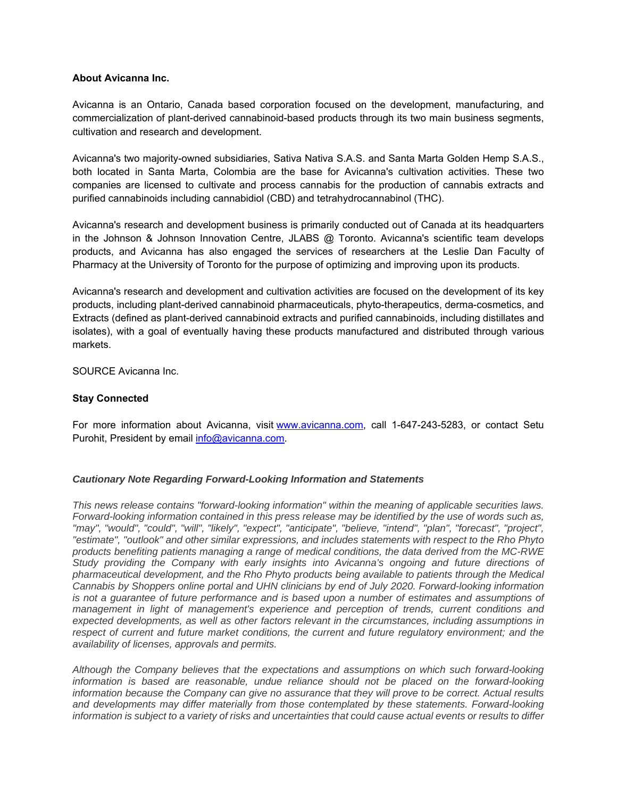## **About Avicanna Inc.**

Avicanna is an Ontario, Canada based corporation focused on the development, manufacturing, and commercialization of plant-derived cannabinoid-based products through its two main business segments, cultivation and research and development.

Avicanna's two majority-owned subsidiaries, Sativa Nativa S.A.S. and Santa Marta Golden Hemp S.A.S., both located in Santa Marta, Colombia are the base for Avicanna's cultivation activities. These two companies are licensed to cultivate and process cannabis for the production of cannabis extracts and purified cannabinoids including cannabidiol (CBD) and tetrahydrocannabinol (THC).

Avicanna's research and development business is primarily conducted out of Canada at its headquarters in the Johnson & Johnson Innovation Centre, JLABS @ Toronto. Avicanna's scientific team develops products, and Avicanna has also engaged the services of researchers at the Leslie Dan Faculty of Pharmacy at the University of Toronto for the purpose of optimizing and improving upon its products.

Avicanna's research and development and cultivation activities are focused on the development of its key products, including plant-derived cannabinoid pharmaceuticals, phyto-therapeutics, derma-cosmetics, and Extracts (defined as plant-derived cannabinoid extracts and purified cannabinoids, including distillates and isolates), with a goal of eventually having these products manufactured and distributed through various markets.

SOURCE Avicanna Inc.

## **Stay Connected**

For more information about Avicanna, visit www.avicanna.com, call 1-647-243-5283, or contact Setu Purohit, President by email info@avicanna.com.

## *Cautionary Note Regarding Forward-Looking Information and Statements*

*This news release contains "forward-looking information" within the meaning of applicable securities laws. Forward-looking information contained in this press release may be identified by the use of words such as, "may", "would", "could", "will", "likely", "expect", "anticipate", "believe, "intend", "plan", "forecast", "project", "estimate", "outlook" and other similar expressions, and includes statements with respect to the Rho Phyto products benefiting patients managing a range of medical conditions, the data derived from the MC-RWE Study providing the Company with early insights into Avicanna's ongoing and future directions of pharmaceutical development, and the Rho Phyto products being available to patients through the Medical Cannabis by Shoppers online portal and UHN clinicians by end of July 2020. Forward-looking information is not a guarantee of future performance and is based upon a number of estimates and assumptions of management in light of management's experience and perception of trends, current conditions and expected developments, as well as other factors relevant in the circumstances, including assumptions in respect of current and future market conditions, the current and future regulatory environment; and the availability of licenses, approvals and permits.*

*Although the Company believes that the expectations and assumptions on which such forward-looking information is based are reasonable, undue reliance should not be placed on the forward-looking information because the Company can give no assurance that they will prove to be correct. Actual results and developments may differ materially from those contemplated by these statements. Forward-looking information is subject to a variety of risks and uncertainties that could cause actual events or results to differ*